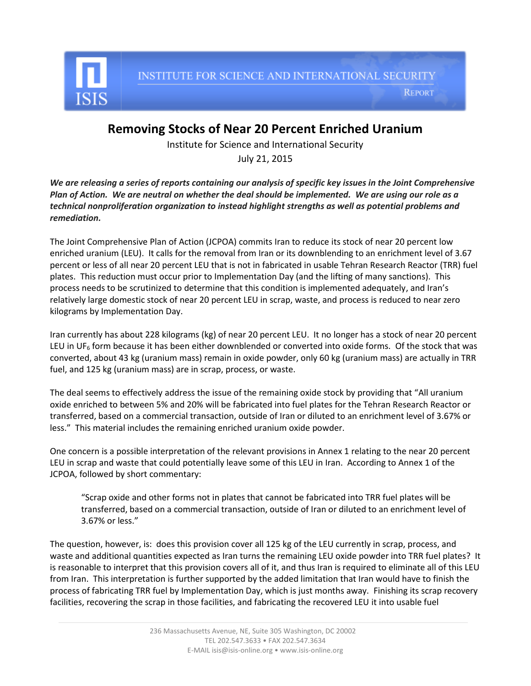

**REPORT** 

## **Removing Stocks of Near 20 Percent Enriched Uranium**

Institute for Science and International Security

July 21, 2015

*We are releasing a series of reports containing our analysis of specific key issues in the Joint Comprehensive Plan of Action. We are neutral on whether the deal should be implemented. We are using our role as a technical nonproliferation organization to instead highlight strengths as well as potential problems and remediation.* 

The Joint Comprehensive Plan of Action (JCPOA) commits Iran to reduce its stock of near 20 percent low enriched uranium (LEU). It calls for the removal from Iran or its downblending to an enrichment level of 3.67 percent or less of all near 20 percent LEU that is not in fabricated in usable Tehran Research Reactor (TRR) fuel plates. This reduction must occur prior to Implementation Day (and the lifting of many sanctions). This process needs to be scrutinized to determine that this condition is implemented adequately, and Iran's relatively large domestic stock of near 20 percent LEU in scrap, waste, and process is reduced to near zero kilograms by Implementation Day.

Iran currently has about 228 kilograms (kg) of near 20 percent LEU. It no longer has a stock of near 20 percent LEU in UF<sub>6</sub> form because it has been either downblended or converted into oxide forms. Of the stock that was converted, about 43 kg (uranium mass) remain in oxide powder, only 60 kg (uranium mass) are actually in TRR fuel, and 125 kg (uranium mass) are in scrap, process, or waste.

The deal seems to effectively address the issue of the remaining oxide stock by providing that "All uranium oxide enriched to between 5% and 20% will be fabricated into fuel plates for the Tehran Research Reactor or transferred, based on a commercial transaction, outside of Iran or diluted to an enrichment level of 3.67% or less." This material includes the remaining enriched uranium oxide powder.

One concern is a possible interpretation of the relevant provisions in Annex 1 relating to the near 20 percent LEU in scrap and waste that could potentially leave some of this LEU in Iran. According to Annex 1 of the JCPOA, followed by short commentary:

"Scrap oxide and other forms not in plates that cannot be fabricated into TRR fuel plates will be transferred, based on a commercial transaction, outside of Iran or diluted to an enrichment level of 3.67% or less."

The question, however, is: does this provision cover all 125 kg of the LEU currently in scrap, process, and waste and additional quantities expected as Iran turns the remaining LEU oxide powder into TRR fuel plates? It is reasonable to interpret that this provision covers all of it, and thus Iran is required to eliminate all of this LEU from Iran. This interpretation is further supported by the added limitation that Iran would have to finish the process of fabricating TRR fuel by Implementation Day, which is just months away. Finishing its scrap recovery facilities, recovering the scrap in those facilities, and fabricating the recovered LEU it into usable fuel